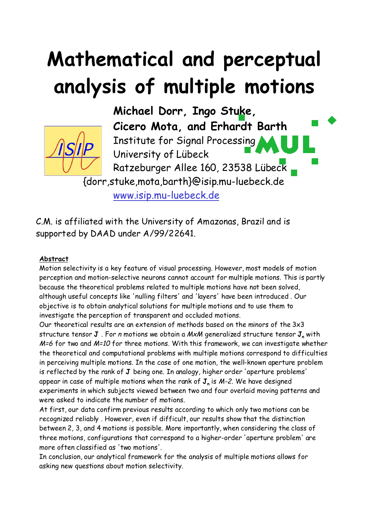# **Mathematical and perceptual analysis of multiple motions**



**Michael Dorr, Ingo Stuke, Cicero Mota, and Erhardt Barth** Institute for Signal Processing University of Lübeck Ratzeburger Allee 160, 23538 Lübeck

{dorr,stuke,mota,barth}@isip.mu-luebeck.de

www.isip.mu-luebeck.de

C.M. is affiliated with the University of Amazonas, Brazil and is supported by DAAD under A/99/22641.

#### **Abstract**

Motion selectivity is a key feature of visual processing. However, most models of motion perception and motion-selective neurons cannot account for multiple motions. This is partly because the theoretical problems related to multiple motions have not been solved, although useful concepts like 'nulling filters' and 'layers' have been introduced . Our objective is to obtain analytical solutions for multiple motions and to use them to investigate the perception of transparent and occluded motions.

Our theoretical results are an extension of methods based on the minors of the 3x3 structure tensor **J**. For *n* motions we obtain a MxM generalized structure tensor **J**<sub>n</sub> with M=6 for two and M=10 for three motions. With this framework, we can investigate whether the theoretical and computational problems with multiple motions correspond to difficulties in perceiving multiple motions. In the case of one motion, the well-known aperture problem is reflected by the rank of **J** being one. In analogy, higher order 'aperture problems' appear in case of multiple motions when the rank of  $J_n$  is  $M-2$ . We have designed experiments in which subjects viewed between two and four overlaid moving patterns and were asked to indicate the number of motions.

At first, our data confirm previous results according to which only two motions can be recognized reliably . However, even if difficult, our results show that the distinction between 2, 3, and 4 motions is possible. More importantly, when considering the class of three motions, configurations that correspond to a higher-order 'aperture problem' are more often classified as 'two motions'.

In conclusion, our analytical framework for the analysis of multiple motions allows for asking new questions about motion selectivity.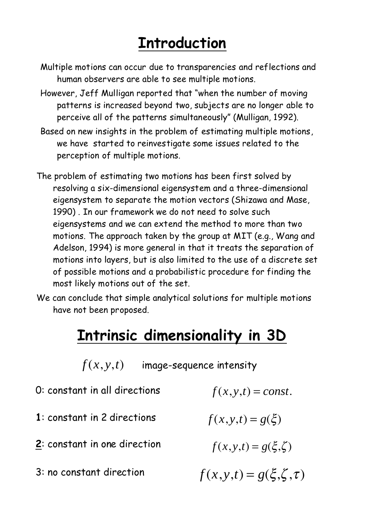## **Introduction**

- Multiple motions can occur due to transparencies and reflections and human observers are able to see multiple motions.
- However, Jeff Mulligan reported that "when the number of moving patterns is increased beyond two, subjects are no longer able to perceive all of the patterns simultaneously" (Mulligan, 1992).
- Based on new insights in the problem of estimating multiple motions, we have started to reinvestigate some issues related to the perception of multiple motions.
- The problem of estimating two motions has been first solved by resolving a six-dimensional eigensystem and a three-dimensional eigensystem to separate the motion vectors (Shizawa and Mase, 1990) . In our framework we do not need to solve such eigensystems and we can extend the method to more than two motions. The approach taken by the group at MIT (e.g., Wang and Adelson, 1994) is more general in that it treats the separation of motions into layers, but is also limited to the use of a discrete set of possible motions and a probabilistic procedure for finding the most likely motions out of the set.
- We can conclude that simple analytical solutions for multiple motions have not been proposed.

### **Intrinsic dimensionality in 3D**

 $f(x, y, t)$  image-sequence intensity

- 0: constant in all directions  $f(x, y, t) = const.$
- **1**: constant in 2 directions
- **2**: constant in one direction
- 3: no constant direction

 $f(x, y, t) = g(\xi)$  $f(x, y, t) = g(\xi, \zeta)$  $f(x, y, t) = g(\xi, \zeta, \tau)$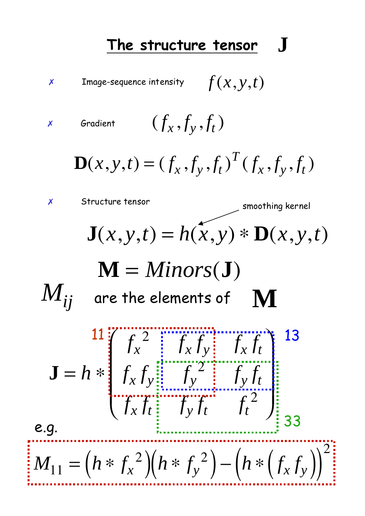#### **The structure tensor J**



*x* Gradient  $(f_x, f_y, f_t)$ 

$$
\mathbf{D}(x, y, t) = (f_x, f_y, f_t)^T (f_x, f_y, f_t)
$$

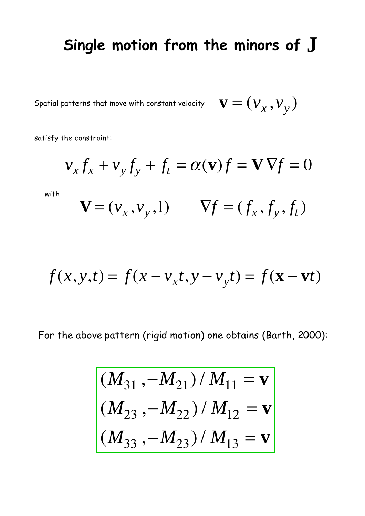## **Single motion from the minors of J**

Spatial patterns that move with constant velocity  $\mathbf{v} = (v_x, v_y)$ 

satisfy the constraint:

with

$$
v_x f_x + v_y f_y + f_t = \alpha(\mathbf{v}) f = \mathbf{V} \nabla f = 0
$$
  

$$
\mathbf{V} = (v_x, v_y, 1) \qquad \nabla f = (f_x, f_y, f_t)
$$

$$
f(x, y, t) = f(x - v_x t, y - v_y t) = f(\mathbf{x} - \mathbf{v}t)
$$

For the above pattern (rigid motion) one obtains (Barth, 2000):

$$
\begin{aligned} (M_{31}, -M_{21}) / M_{11} &= \mathbf{v} \\ (M_{23}, -M_{22}) / M_{12} &= \mathbf{v} \\ (M_{33}, -M_{23}) / M_{13} &= \mathbf{v} \end{aligned}
$$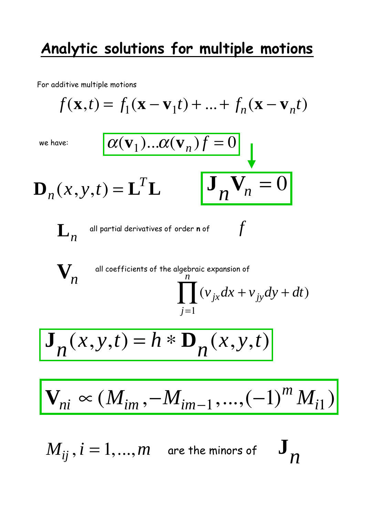## **Analytic solutions for multiple motions**

For additive multiple motions

$$
f(\mathbf{x},t) = f_1(\mathbf{x} - \mathbf{v}_1t) + ... + f_n(\mathbf{x} - \mathbf{v}_nt)
$$
  
\nwe have:  
\n
$$
\alpha(\mathbf{v}_1)... \alpha(\mathbf{v}_n)f = 0
$$
  
\n
$$
\mathbf{D}_n(x, y, t) = \mathbf{L}^T \mathbf{L} \qquad \mathbf{J}_n \mathbf{V}_n = 0
$$
  
\n
$$
\mathbf{L}_n
$$
 all partial derivatives of order not  $f$   
\n
$$
\mathbf{V}_n
$$
  
\nall coefficients of the algebraic expansion of  
\n
$$
\prod_{j=1}^n (v_{jx}dx + v_{jy}dy + dt)
$$
  
\n
$$
\mathbf{J}_n(x, y, t) = h * \mathbf{D}_n(x, y, t)
$$
  
\n
$$
\mathbf{V}_{ni} \propto (M_{im}, -M_{im-1}, ..., (-1)^m M_{i1})
$$

 $M_{ij}$  ,  $i=1,...,m$  are the minors of  $\quad \mathbf{J}_n$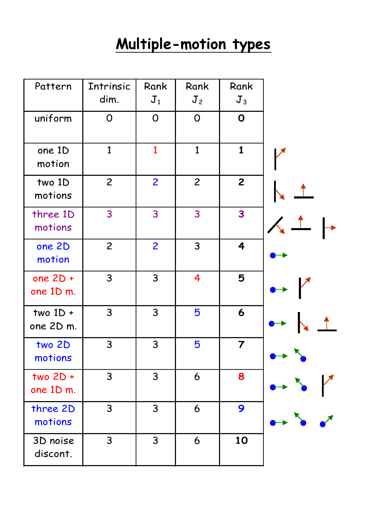## **Multiple-motion types**

| Pattern                 | Intrinsic      | Rank           | Rank           | Rank                    |  |
|-------------------------|----------------|----------------|----------------|-------------------------|--|
|                         | dim.           | $J_1$          | J <sub>2</sub> | $J_3$                   |  |
| uniform                 | $\mathsf{O}$   | $\mathsf{O}$   | $\overline{O}$ | $\mathbf 0$             |  |
| one 1D<br>motion        | $\mathbf{1}$   | $\mathbf{1}$   | $\mathbf{1}$   | $\mathbf{1}$            |  |
| two 1D<br>motions       | $\overline{c}$ | $\overline{2}$ | $\overline{c}$ | $\overline{2}$          |  |
| three 1D<br>motions     | 3              | 3              | 3              | 3                       |  |
| one 2D<br>motion        | $\overline{c}$ | $\overline{2}$ | 3              | 4                       |  |
| one $2D +$<br>one 1D m. | 3              | $\mathsf{3}$   | 4              | 5                       |  |
| two $1D +$<br>one 2D m. | 3              | 3              | 5              | 6                       |  |
| two 2D<br>motions       | 3              | 3              | 5              | $\overline{\mathbf{7}}$ |  |
| $two 2D +$<br>one 1D m. | 3              | 3              | 6              | 8                       |  |
| three 2D<br>motions     | 3              | 3              | 6              | 9                       |  |
| 3D noise<br>discont.    | 3              | 3              | 6              | 10                      |  |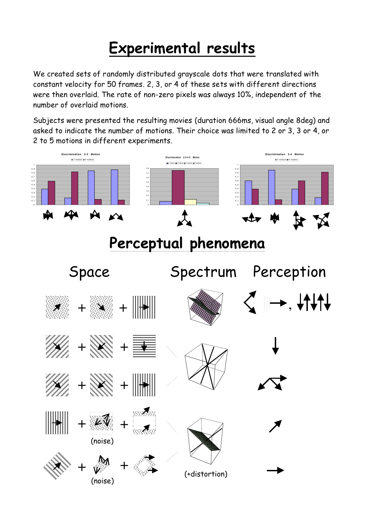## **Experimental results**

We created sets of randomly distributed grayscale dots that were translated with constant velocity for 50 frames. 2, 3, or 4 of these sets with different directions were then overlaid. The rate of non-zero pixels was always 10%, independent of the number of overlaid motions.

Subjects were presented the resulting movies (duration 666ms, visual angle 8deg) and asked to indicate the number of motions. Their choice was limited to 2 or 3, 3 or 4, or 2 to 5 motions in different experiments.

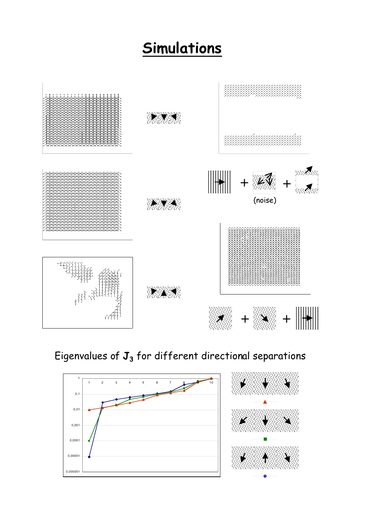## **Simulations**



#### Eigenvalues of  $J_3$  for different directional separations